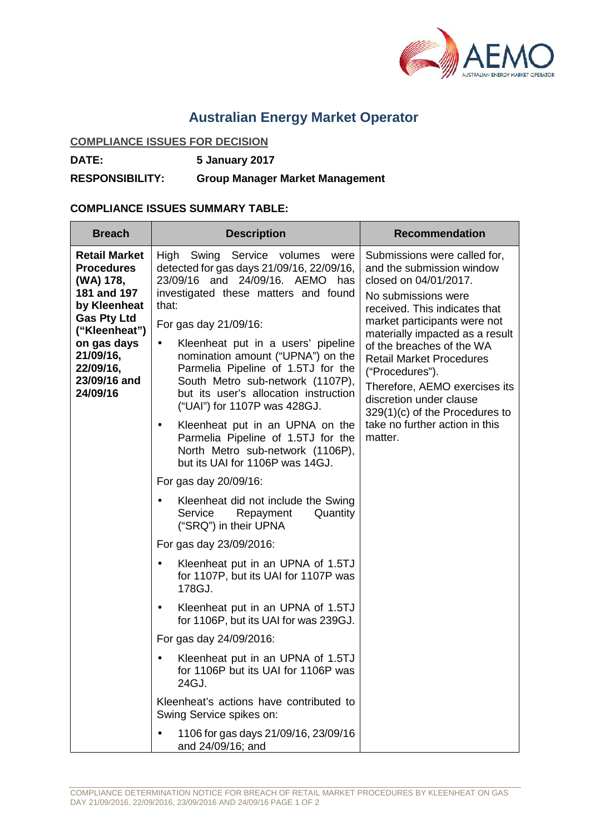

# **Australian Energy Market Operator**

## **COMPLIANCE ISSUES FOR DECISION**

**DATE: 5 January 2017**

#### **RESPONSIBILITY: Group Manager Market Management**

### **COMPLIANCE ISSUES SUMMARY TABLE:**

| <b>Breach</b>                                                                                                                                                                                     | <b>Description</b>                                                                                                                                                                                                                                                                                                                                                                                                                                                                                                                                                                                                            | <b>Recommendation</b>                                                                                                                                                                                                                                                                                                                                                                                                                         |
|---------------------------------------------------------------------------------------------------------------------------------------------------------------------------------------------------|-------------------------------------------------------------------------------------------------------------------------------------------------------------------------------------------------------------------------------------------------------------------------------------------------------------------------------------------------------------------------------------------------------------------------------------------------------------------------------------------------------------------------------------------------------------------------------------------------------------------------------|-----------------------------------------------------------------------------------------------------------------------------------------------------------------------------------------------------------------------------------------------------------------------------------------------------------------------------------------------------------------------------------------------------------------------------------------------|
| <b>Retail Market</b><br><b>Procedures</b><br>(WA) 178,<br>181 and 197<br>by Kleenheat<br><b>Gas Pty Ltd</b><br>("Kleenheat")<br>on gas days<br>21/09/16,<br>22/09/16,<br>23/09/16 and<br>24/09/16 | High<br>Swing Service volumes were<br>detected for gas days 21/09/16, 22/09/16,<br>23/09/16 and 24/09/16. AEMO has<br>investigated these matters and found<br>that:<br>For gas day 21/09/16:<br>Kleenheat put in a users' pipeline<br>$\bullet$<br>nomination amount ("UPNA") on the<br>Parmelia Pipeline of 1.5TJ for the<br>South Metro sub-network (1107P),<br>but its user's allocation instruction<br>("UAI") for 1107P was 428GJ.<br>Kleenheat put in an UPNA on the<br>$\bullet$<br>Parmelia Pipeline of 1.5TJ for the<br>North Metro sub-network (1106P),<br>but its UAI for 1106P was 14GJ.<br>For gas day 20/09/16: | Submissions were called for,<br>and the submission window<br>closed on 04/01/2017.<br>No submissions were<br>received. This indicates that<br>market participants were not<br>materially impacted as a result<br>of the breaches of the WA<br><b>Retail Market Procedures</b><br>("Procedures").<br>Therefore, AEMO exercises its<br>discretion under clause<br>$329(1)(c)$ of the Procedures to<br>take no further action in this<br>matter. |
|                                                                                                                                                                                                   | Kleenheat did not include the Swing<br>Service<br>Repayment<br>Quantity<br>("SRQ") in their UPNA                                                                                                                                                                                                                                                                                                                                                                                                                                                                                                                              |                                                                                                                                                                                                                                                                                                                                                                                                                                               |
|                                                                                                                                                                                                   | For gas day 23/09/2016:                                                                                                                                                                                                                                                                                                                                                                                                                                                                                                                                                                                                       |                                                                                                                                                                                                                                                                                                                                                                                                                                               |
|                                                                                                                                                                                                   | Kleenheat put in an UPNA of 1.5TJ<br>$\bullet$<br>for 1107P, but its UAI for 1107P was<br>178GJ.                                                                                                                                                                                                                                                                                                                                                                                                                                                                                                                              |                                                                                                                                                                                                                                                                                                                                                                                                                                               |
|                                                                                                                                                                                                   | Kleenheat put in an UPNA of 1.5TJ<br>for 1106P, but its UAI for was 239GJ.                                                                                                                                                                                                                                                                                                                                                                                                                                                                                                                                                    |                                                                                                                                                                                                                                                                                                                                                                                                                                               |
|                                                                                                                                                                                                   | For gas day 24/09/2016:                                                                                                                                                                                                                                                                                                                                                                                                                                                                                                                                                                                                       |                                                                                                                                                                                                                                                                                                                                                                                                                                               |
|                                                                                                                                                                                                   | Kleenheat put in an UPNA of 1.5TJ<br>for 1106P but its UAI for 1106P was<br>24GJ.                                                                                                                                                                                                                                                                                                                                                                                                                                                                                                                                             |                                                                                                                                                                                                                                                                                                                                                                                                                                               |
|                                                                                                                                                                                                   | Kleenheat's actions have contributed to<br>Swing Service spikes on:                                                                                                                                                                                                                                                                                                                                                                                                                                                                                                                                                           |                                                                                                                                                                                                                                                                                                                                                                                                                                               |
|                                                                                                                                                                                                   | 1106 for gas days 21/09/16, 23/09/16<br>and 24/09/16; and                                                                                                                                                                                                                                                                                                                                                                                                                                                                                                                                                                     |                                                                                                                                                                                                                                                                                                                                                                                                                                               |